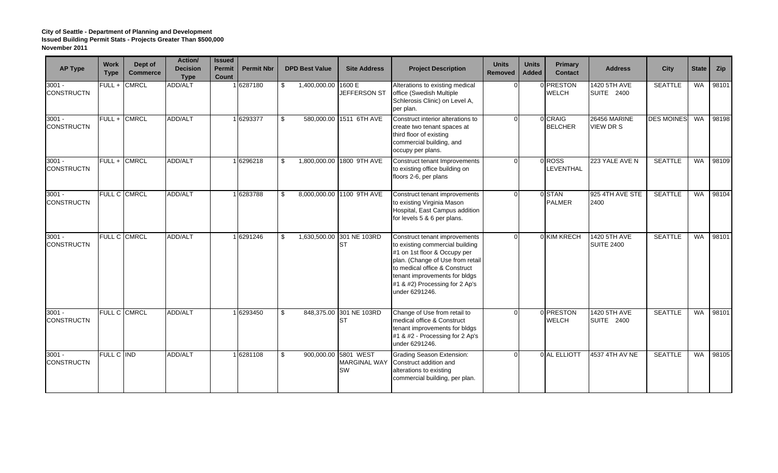| <b>AP Type</b>                | <b>Work</b><br><b>Type</b> | Dept of<br><b>Commerce</b> | Action/<br><b>Decision</b><br><b>Type</b> | <b>Issued</b><br><b>Permit</b><br>Count | <b>Permit Nbr</b> | <b>DPD Best Value</b>     | <b>Site Address</b>                                      | <b>Project Description</b>                                                                                                                                                                                                                                 | <b>Units</b><br>Removed | <b>Units</b><br><b>Added</b> | Primary<br><b>Contact</b> | <b>Address</b>                           | City              | <b>State</b> | Zip   |
|-------------------------------|----------------------------|----------------------------|-------------------------------------------|-----------------------------------------|-------------------|---------------------------|----------------------------------------------------------|------------------------------------------------------------------------------------------------------------------------------------------------------------------------------------------------------------------------------------------------------------|-------------------------|------------------------------|---------------------------|------------------------------------------|-------------------|--------------|-------|
| $3001 -$<br><b>CONSTRUCTN</b> | FULL+                      | <b>CMRCL</b>               | ADD/ALT                                   |                                         | 1 6287180         | \$<br>1,400,000.00 1600 E | JEFFERSON ST                                             | Alterations to existing medical<br>office (Swedish Multiple<br>Schlerosis Clinic) on Level A,<br>per plan.                                                                                                                                                 |                         |                              | 0 PRESTON<br><b>WELCH</b> | 1420 5TH AVE<br><b>SUITE 2400</b>        | <b>SEATTLE</b>    | <b>WA</b>    | 98101 |
| $3001 -$<br><b>CONSTRUCTN</b> |                            | FULL + CMRCL               | ADD/ALT                                   |                                         | 1 6293377         | \$                        | 580,000.00 1511 6TH AVE                                  | Construct interior alterations to<br>create two tenant spaces at<br>third floor of existing<br>commercial building, and<br>occupy per plans.                                                                                                               |                         |                              | 0 CRAIG<br><b>BELCHER</b> | <b>26456 MARINE</b><br>VIEW DR S         | <b>DES MOINES</b> | WA           | 98198 |
| $3001 -$<br><b>CONSTRUCTN</b> | FULL+                      | <b>CMRCL</b>               | ADD/ALT                                   |                                         | 1 6296218         | \$                        | 1,800,000.00 1800 9TH AVE                                | Construct tenant Improvements<br>to existing office building on<br>floors 2-6, per plans                                                                                                                                                                   |                         |                              | 0ROSS<br>LEVENTHAL        | 223 YALE AVE N                           | <b>SEATTLE</b>    | <b>WA</b>    | 98109 |
| $3001 -$<br><b>CONSTRUCTN</b> |                            | FULL C CMRCL               | ADD/ALT                                   |                                         | 1 6283788         | \$                        | 8,000,000.00 1100 9TH AVE                                | Construct tenant improvements<br>to existing Virginia Mason<br>Hospital, East Campus addition<br>for levels 5 & 6 per plans.                                                                                                                               | ∩                       |                              | 0 STAN<br><b>PALMER</b>   | 925 4TH AVE STE<br>2400                  | <b>SEATTLE</b>    | <b>WA</b>    | 98104 |
| $3001 -$<br><b>CONSTRUCTN</b> |                            | <b>FULL C CMRCL</b>        | ADD/ALT                                   |                                         | 1 6291246         | \$                        | 1,630,500.00 301 NE 103RD<br><b>IST</b>                  | Construct tenant improvements<br>to existing commercial building<br>#1 on 1st floor & Occupy per<br>plan. (Change of Use from retail<br>to medical office & Construct<br>tenant improvements for bldgs<br>#1 & #2) Processing for 2 Ap's<br>under 6291246. |                         |                              | 0 KIM KRECH               | <b>1420 5TH AVE</b><br><b>SUITE 2400</b> | <b>SEATTLE</b>    | <b>WA</b>    | 98101 |
| $3001 -$<br><b>CONSTRUCTN</b> |                            | FULL C CMRCL               | ADD/ALT                                   |                                         | 1 6293450         | \$                        | 848,375.00 301 NE 103RD<br><b>IST</b>                    | Change of Use from retail to<br>medical office & Construct<br>tenant improvements for bldgs<br>#1 & #2 - Processing for 2 Ap's<br>under 6291246.                                                                                                           |                         |                              | 0 PRESTON<br><b>WELCH</b> | 1420 5TH AVE<br><b>SUITE 2400</b>        | <b>SEATTLE</b>    | <b>WA</b>    | 98101 |
| $3001 -$<br><b>CONSTRUCTN</b> | FULL C IND                 |                            | ADD/ALT                                   |                                         | 1 6281108         | \$                        | 900,000.00 5801 WEST<br><b>MARGINAL WAY</b><br><b>SW</b> | <b>Grading Season Extension:</b><br>Construct addition and<br>alterations to existing<br>commercial building, per plan.                                                                                                                                    |                         |                              | 0 AL ELLIOTT              | 4537 4TH AV NE                           | <b>SEATTLE</b>    | <b>WA</b>    | 98105 |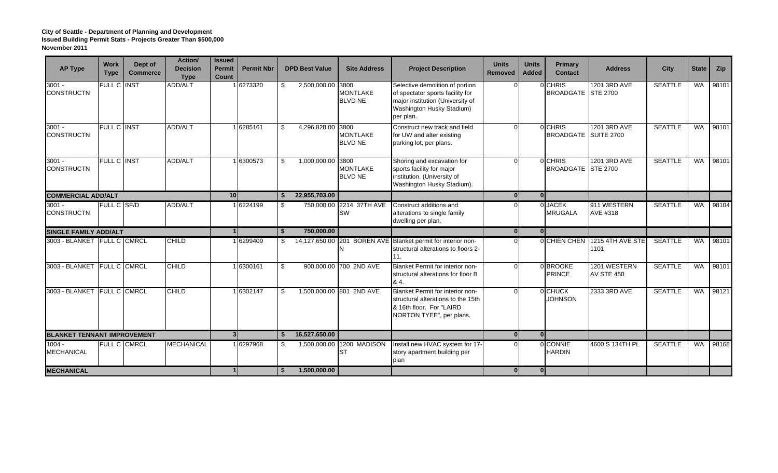| <b>AP Type</b>                     | <b>Work</b><br><b>Type</b> | Dept of<br><b>Commerce</b> | Action/<br><b>Decision</b><br><b>Type</b> | <b>Issued</b><br><b>Permit</b><br>Count | <b>Permit Nbr</b> |              | <b>DPD Best Value</b> | <b>Site Address</b>                       | <b>Project Description</b>                                                                                                                        | <b>Units</b><br><b>Removed</b> | <b>Units</b><br><b>Added</b> | Primary<br><b>Contact</b>       | <b>Address</b>                              | <b>City</b>    | <b>State</b> | Zip   |
|------------------------------------|----------------------------|----------------------------|-------------------------------------------|-----------------------------------------|-------------------|--------------|-----------------------|-------------------------------------------|---------------------------------------------------------------------------------------------------------------------------------------------------|--------------------------------|------------------------------|---------------------------------|---------------------------------------------|----------------|--------------|-------|
| $3001 -$<br><b>CONSTRUCTN</b>      | <b>FULL C</b>              | <b>INST</b>                | ADD/ALT                                   |                                         | 16273320          | \$           | 2,500,000.00          | 3800<br><b>MONTLAKE</b><br><b>BLVD NE</b> | Selective demolition of portion<br>of spectator sports facility for<br>major institution (University of<br>Washington Husky Stadium)<br>per plan. |                                |                              | 0 CHRIS<br>BROADGATE STE 2700   | 1201 3RD AVE                                | <b>SEATTLE</b> | <b>WA</b>    | 98101 |
| $3001 -$<br><b>CONSTRUCTN</b>      | FULL C INST                |                            | ADD/ALT                                   |                                         | 1 6285161         | \$           | 4,296,828.00          | 3800<br><b>MONTLAKE</b><br><b>BLVD NE</b> | Construct new track and field<br>for UW and alter existing<br>parking lot, per plans.                                                             |                                |                              | 0 CHRIS<br>BROADGATE SUITE 2700 | 1201 3RD AVE                                | <b>SEATTLE</b> | <b>WA</b>    | 98101 |
| $3001 -$<br><b>CONSTRUCTN</b>      | FULL C INST                |                            | ADD/ALT                                   |                                         | 1 6300573         | \$           | 1,000,000.00 3800     | <b>MONTLAKE</b><br><b>BLVD NE</b>         | Shoring and excavation for<br>sports facility for major<br>institution. (University of<br>Washington Husky Stadium).                              |                                |                              | 0 CHRIS<br>BROADGATE STE 2700   | 1201 3RD AVE                                | <b>SEATTLE</b> | <b>WA</b>    | 98101 |
| <b>COMMERCIAL ADD/ALT</b>          |                            |                            |                                           | 10                                      |                   | S.           | 22,955,703.00         |                                           |                                                                                                                                                   | $\Omega$                       | $\overline{0}$               |                                 |                                             |                |              |       |
| $3001 -$<br><b>CONSTRUCTN</b>      | FULL C SF/D                |                            | ADD/ALT                                   |                                         | 1 6224199         | - \$         |                       | 750,000.00 2214 37TH AVE<br>SW            | Construct additions and<br>alterations to single family<br>dwelling per plan.                                                                     |                                |                              | 0 JACEK<br><b>MRUGALA</b>       | 911 WESTERN<br>AVE #318                     | <b>SEATTLE</b> | <b>WA</b>    | 98104 |
| <b>SINGLE FAMILY ADD/ALT</b>       |                            |                            |                                           | $\overline{1}$                          |                   | <b>S</b>     | 750,000,00            |                                           |                                                                                                                                                   | $\Omega$                       | $\overline{0}$               |                                 |                                             |                |              |       |
| 3003 - BLANKET FULL C CMRCL        |                            |                            | <b>CHILD</b>                              |                                         | 1 6299409         | S.           |                       |                                           | 14,127,650.00 201 BOREN AVE Blanket permit for interior non-<br>structural alterations to floors 2-<br>11.                                        |                                |                              |                                 | <b>OCHIEN CHEN</b> 1215 4TH AVE STE<br>1101 | <b>SEATTLE</b> | <b>WA</b>    | 98101 |
| 3003 - BLANKET FULL C CMRCL        |                            |                            | <b>CHILD</b>                              |                                         | 1 6300161         | \$           |                       | 900,000.00 700 2ND AVE                    | Blanket Permit for interior non-<br>structural alterations for floor B<br>84.                                                                     |                                |                              | 0 BROOKE<br><b>PRINCE</b>       | 1201 WESTERN<br><b>AV STE 450</b>           | <b>SEATTLE</b> | <b>WA</b>    | 98101 |
| 3003 - BLANKET FULL C CMRCL        |                            |                            | <b>CHILD</b>                              |                                         | 1 6302147         | \$           |                       | 1,500,000.00 801 2ND AVE                  | Blanket Permit for interior non-<br>structural alterations to the 15th<br>& 16th floor. For "LAIRD<br>NORTON TYEE", per plans.                    |                                |                              | 0 CHUCK<br><b>JOHNSON</b>       | 2333 3RD AVE                                | <b>SEATTLE</b> | <b>WA</b>    | 98121 |
| <b>BLANKET TENNANT IMPROVEMENT</b> |                            |                            |                                           |                                         | 3 <sup>l</sup>    |              | 16,527,650.00         |                                           |                                                                                                                                                   | $\mathbf{0}$                   | $\overline{0}$               |                                 |                                             |                |              |       |
| $1004 -$<br><b>MECHANICAL</b>      |                            | <b>FULL C CMRCL</b>        | <b>MECHANICAL</b>                         |                                         | 1 6297968         |              |                       | 1,500,000.00 1200 MADISON<br><b>ST</b>    | Install new HVAC system for 17-<br>story apartment building per<br>plan                                                                           |                                |                              | 0 CONNIE<br><b>HARDIN</b>       | 4600 S 134TH PL                             | <b>SEATTLE</b> | <b>WA</b>    | 98168 |
| <b>MECHANICAL</b>                  |                            |                            | $\overline{1}$                            |                                         | <sup>\$</sup>     | 1,500,000.00 |                       |                                           | $\mathbf{0}$                                                                                                                                      | $\overline{0}$                 |                              |                                 |                                             |                |              |       |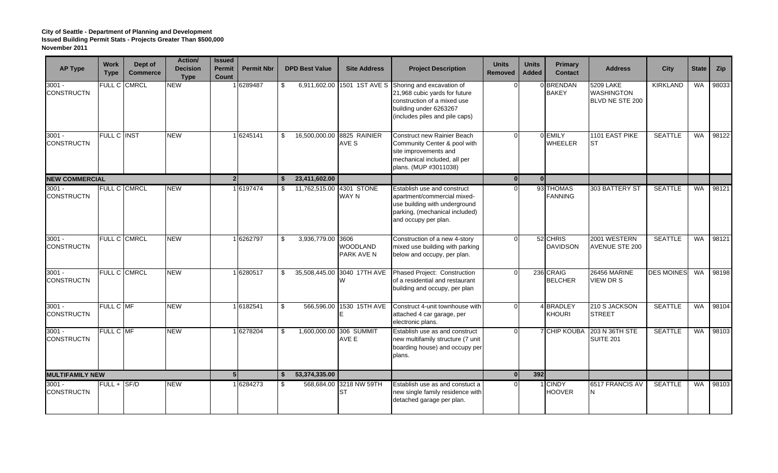| <b>AP Type</b>                | <b>Work</b><br><b>Type</b> | Dept of<br><b>Commerce</b> | Action/<br><b>Decision</b><br><b>Type</b> | <b>Issued</b><br><b>Permit</b><br>Count | <b>Permit Nbr</b> |      | <b>DPD Best Value</b> | <b>Site Address</b>                          | <b>Project Description</b>                                                                                                                                           | <b>Units</b><br><b>Removed</b> | <b>Units</b><br><b>Added</b> | Primary<br><b>Contact</b>         | <b>Address</b>                                    | <b>City</b>       | <b>State</b> | Zip   |
|-------------------------------|----------------------------|----------------------------|-------------------------------------------|-----------------------------------------|-------------------|------|-----------------------|----------------------------------------------|----------------------------------------------------------------------------------------------------------------------------------------------------------------------|--------------------------------|------------------------------|-----------------------------------|---------------------------------------------------|-------------------|--------------|-------|
| $3001 -$<br><b>CONSTRUCTN</b> | <b>FULL C</b>              | <b>CMRCL</b>               | <b>NEW</b>                                |                                         | 6289487           | -\$  | 6,911,602.00          |                                              | 1501 1ST AVE S Shoring and excavation of<br>21,968 cubic yards for future<br>construction of a mixed use<br>building under 6263267<br>(includes piles and pile caps) |                                |                              | 0 BRENDAN<br><b>BAKEY</b>         | 5209 LAKE<br><b>WASHINGTON</b><br>BLVD NE STE 200 | KIRKLAND          | WA           | 98033 |
| $3001 -$<br><b>CONSTRUCTN</b> | <b>FULL C INST</b>         |                            | <b>NEW</b>                                |                                         | 16245141          | -\$  |                       | 16.500.000.00 8825 RAINIER<br>AVE S          | <b>Construct new Rainier Beach</b><br>Community Center & pool with<br>site improvements and<br>mechanical included, all per<br>plans. (MUP #3011038)                 |                                |                              | <b>O</b> EMILY<br><b>WHEELER</b>  | 1101 EAST PIKE<br>ST                              | <b>SEATTLE</b>    | <b>WA</b>    | 98122 |
| <b>NEW COMMERCIAL</b>         |                            |                            |                                           | 2 <sup>1</sup>                          |                   | - \$ | 23,411,602.00         |                                              |                                                                                                                                                                      | $\mathbf{0}$                   | 0 <sup>l</sup>               |                                   |                                                   |                   |              |       |
| $3001 -$<br><b>CONSTRUCTN</b> | <b>FULL C CMRCL</b>        |                            | NEW                                       |                                         | 1 6197474         | \$   |                       | 11,762,515.00 4301 STONE<br><b>WAY N</b>     | Establish use and construct<br>apartment/commercial mixed-<br>use building with underground<br>parking, (mechanical included)<br>and occupy per plan.                |                                |                              | 93 THOMAS<br><b>FANNING</b>       | 303 BATTERY ST                                    | <b>SEATTLE</b>    | WA I         | 98121 |
| $3001 -$<br><b>CONSTRUCTN</b> | <b>FULL C CMRCL</b>        |                            | NEW                                       |                                         | 6262797           | -\$  | 3,936,779.00          | 3606<br><b>WOODLAND</b><br><b>PARK AVE N</b> | Construction of a new 4-story<br>mixed use building with parking<br>below and occupy, per plan.                                                                      |                                |                              | 52 CHRIS<br><b>DAVIDSON</b>       | 2001 WESTERN<br><b>AVENUE STE 200</b>             | <b>SEATTLE</b>    | <b>WA</b>    | 98121 |
| $3001 -$<br><b>CONSTRUCTN</b> | <b>FULL C CMRCL</b>        |                            | <b>NEW</b>                                |                                         | 6280517           | -\$  |                       | 35,508,445.00 3040 17TH AVE<br>W             | Phased Project: Construction<br>of a residential and restaurant<br>building and occupy, per plan                                                                     |                                |                              | 236 CRAIG<br><b>BELCHER</b>       | 26456 MARINE<br>VIEW DR S                         | <b>DES MOINES</b> | WA           | 98198 |
| $3001 -$<br><b>CONSTRUCTN</b> | FULL C MF                  |                            | <b>NEW</b>                                |                                         | 1 6182541         | \$   |                       | 566,596.00 1530 15TH AVE                     | Construct 4-unit townhouse with<br>attached 4 car garage, per<br>electronic plans.                                                                                   |                                |                              | 4 BRADLEY<br><b>KHOURI</b>        | 210 S JACKSON<br><b>STREET</b>                    | <b>SEATTLE</b>    | <b>WA</b>    | 98104 |
| $3001 -$<br><b>CONSTRUCTN</b> | FULL C MF                  |                            | <b>NEW</b>                                |                                         | 6278204           | -\$  |                       | 1.600.000.00 306 SUMMIT<br>AVE E             | Establish use as and construct<br>new multifamily structure (7 unit<br>boarding house) and occupy per<br>plans.                                                      |                                |                              | <b>7</b> CHIP KOUBA               | 203 N 36TH STE<br><b>SUITE 201</b>                | <b>SEATTLE</b>    | <b>WA</b>    | 98103 |
| <b>MULTIFAMILY NEW</b>        |                            |                            |                                           | 5 <sub>l</sub>                          |                   | - \$ | 53,374,335.00         |                                              |                                                                                                                                                                      | $\mathbf{0}$                   | 392                          |                                   |                                                   |                   |              |       |
| $3001 -$<br><b>CONSTRUCTN</b> | $FULL +  SF/D$             |                            | NEW                                       |                                         | 6284273           | -96  |                       | 568,684,00 3218 NW 59TH<br>IST               | Establish use as and constuct a<br>new single family residence with<br>detached garage per plan.                                                                     |                                |                              | 1 <b>I</b> CINDY<br><b>HOOVER</b> | 6517 FRANCIS AV                                   | <b>SEATTLE</b>    | WA           | 98103 |